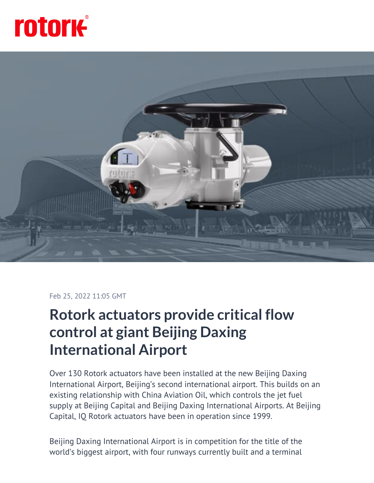



## Feb 25, 2022 11:05 GMT

## **Rotork actuators provide critical flow control at giant Beijing Daxing International Airport**

Over 130 Rotork actuators have been installed at the new Beijing Daxing International Airport, Beijing's second international airport. This builds on an existing relationship with China Aviation Oil, which controls the jet fuel supply at Beijing Capital and Beijing Daxing International Airports. At Beijing Capital, IQ Rotork actuators have been in operation since 1999.

Beijing Daxing International Airport is in competition for the title of the world's biggest airport, with four runways currently built and a terminal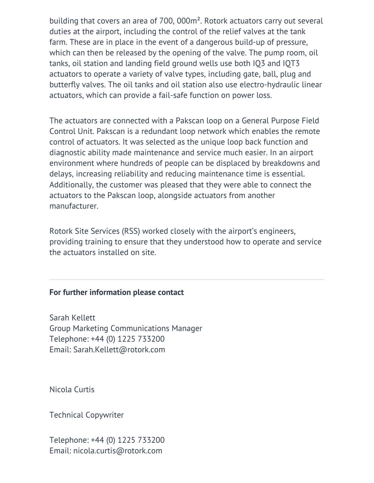building that covers an area of 700, 000m². Rotork actuators carry out several duties at the airport, including the control of the relief valves at the tank farm. These are in place in the event of a dangerous build-up of pressure, which can then be released by the opening of the valve. The pump room, oil tanks, oil station and landing field ground wells use both IQ3 and IQT3 actuators to operate a variety of valve types, including gate, ball, plug and butterfly valves. The oil tanks and oil station also use electro-hydraulic linear actuators, which can provide a fail-safe function on power loss.

The actuators are connected with a Pakscan loop on a General Purpose Field Control Unit. Pakscan is a redundant loop network which enables the remote control of actuators. It was selected as the unique loop back function and diagnostic ability made maintenance and service much easier. In an airport environment where hundreds of people can be displaced by breakdowns and delays, increasing reliability and reducing maintenance time is essential. Additionally, the customer was pleased that they were able to connect the actuators to the Pakscan loop, alongside actuators from another manufacturer.

Rotork Site Services (RSS) worked closely with the airport's engineers, providing training to ensure that they understood how to operate and service the actuators installed on site.

## **For further information please contact**

Sarah Kellett Group Marketing Communications Manager Telephone: +44 (0) 1225 733200 Email: Sarah.Kellett@rotork.com

Nicola Curtis

Technical Copywriter

Telephone: +44 (0) 1225 733200 Email: nicola.curtis@rotork.com